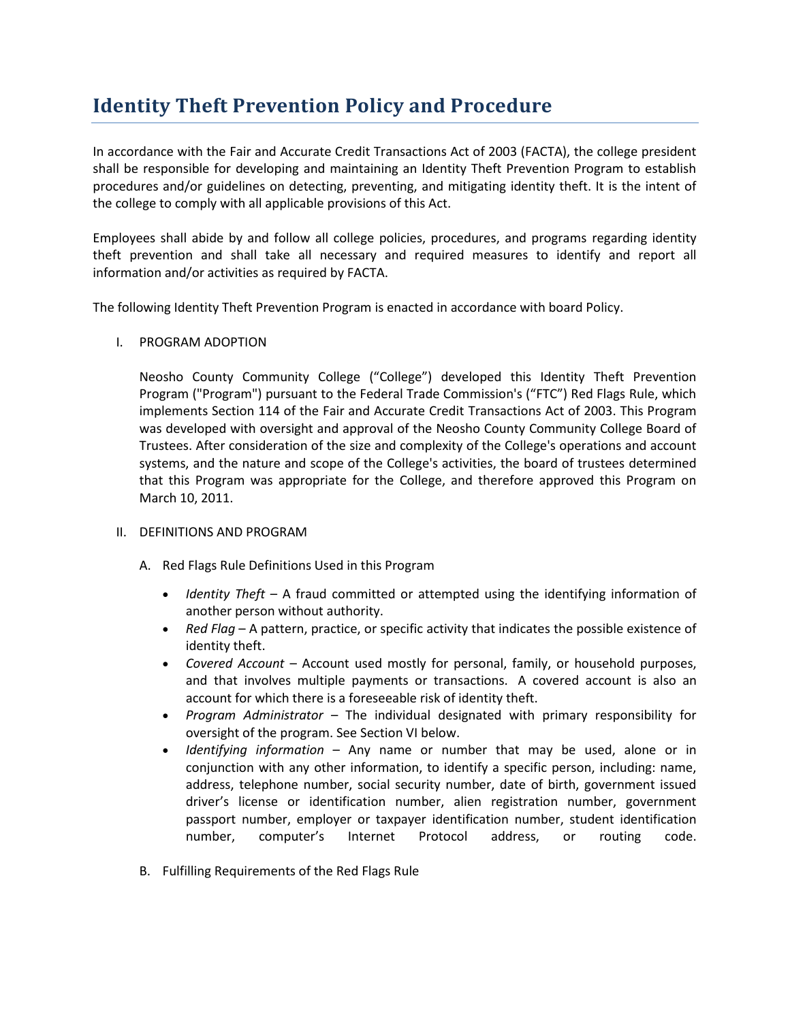# **Identity Theft Prevention Policy and Procedure**

In accordance with the Fair and Accurate Credit Transactions Act of 2003 (FACTA), the college president shall be responsible for developing and maintaining an Identity Theft Prevention Program to establish procedures and/or guidelines on detecting, preventing, and mitigating identity theft. It is the intent of the college to comply with all applicable provisions of this Act.

Employees shall abide by and follow all college policies, procedures, and programs regarding identity theft prevention and shall take all necessary and required measures to identify and report all information and/or activities as required by FACTA.

The following Identity Theft Prevention Program is enacted in accordance with board Policy.

I. PROGRAM ADOPTION

Neosho County Community College ("College") developed this Identity Theft Prevention Program ("Program") pursuant to the Federal Trade Commission's ("FTC") Red Flags Rule, which implements Section 114 of the Fair and Accurate Credit Transactions Act of 2003. This Program was developed with oversight and approval of the Neosho County Community College Board of Trustees. After consideration of the size and complexity of the College's operations and account systems, and the nature and scope of the College's activities, the board of trustees determined that this Program was appropriate for the College, and therefore approved this Program on March 10, 2011.

- II. DEFINITIONS AND PROGRAM
	- A. Red Flags Rule Definitions Used in this Program
		- *Identity Theft* A fraud committed or attempted using the identifying information of another person without authority.
		- *Red Flag* A pattern, practice, or specific activity that indicates the possible existence of identity theft.
		- *Covered Account* Account used mostly for personal, family, or household purposes, and that involves multiple payments or transactions. A covered account is also an account for which there is a foreseeable risk of identity theft.
		- *Program Administrator* The individual designated with primary responsibility for oversight of the program. See Section VI below.
		- *Identifying information* Any name or number that may be used, alone or in conjunction with any other information, to identify a specific person, including: name, address, telephone number, social security number, date of birth, government issued driver's license or identification number, alien registration number, government passport number, employer or taxpayer identification number, student identification number, computer's Internet Protocol address, or routing code.
	- B. Fulfilling Requirements of the Red Flags Rule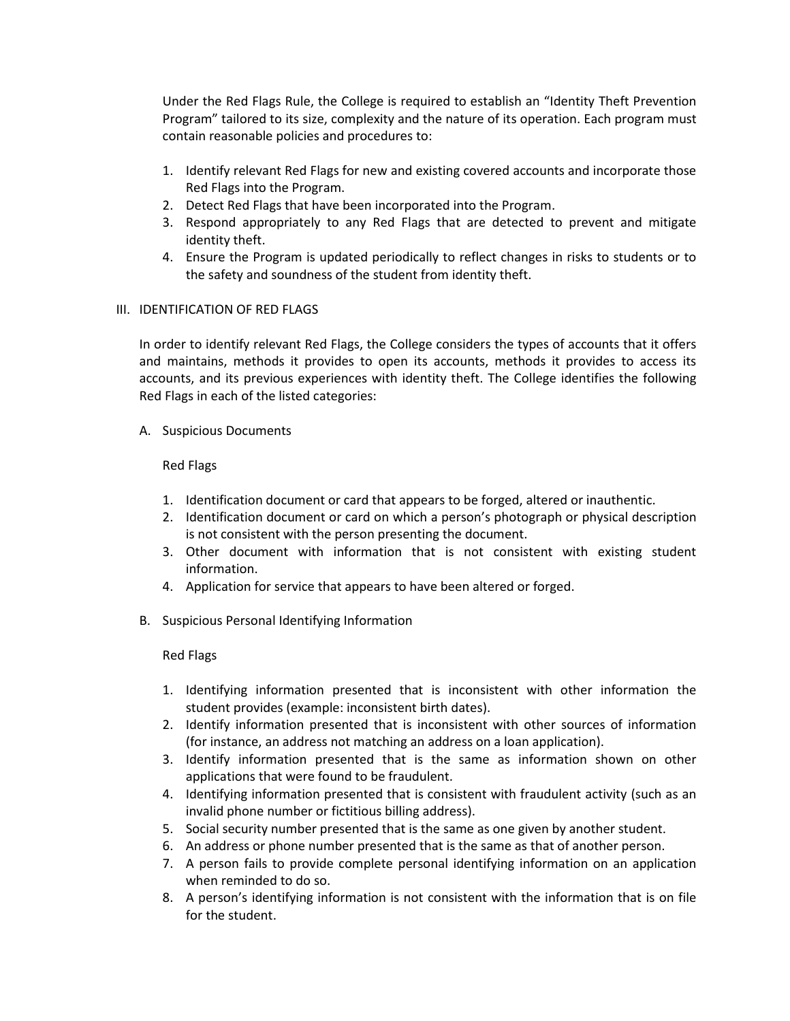Under the Red Flags Rule, the College is required to establish an "Identity Theft Prevention Program" tailored to its size, complexity and the nature of its operation. Each program must contain reasonable policies and procedures to:

- 1. Identify relevant Red Flags for new and existing covered accounts and incorporate those Red Flags into the Program.
- 2. Detect Red Flags that have been incorporated into the Program.
- 3. Respond appropriately to any Red Flags that are detected to prevent and mitigate identity theft.
- 4. Ensure the Program is updated periodically to reflect changes in risks to students or to the safety and soundness of the student from identity theft.

## III. IDENTIFICATION OF RED FLAGS

In order to identify relevant Red Flags, the College considers the types of accounts that it offers and maintains, methods it provides to open its accounts, methods it provides to access its accounts, and its previous experiences with identity theft. The College identifies the following Red Flags in each of the listed categories:

A. Suspicious Documents

#### Red Flags

- 1. Identification document or card that appears to be forged, altered or inauthentic.
- 2. Identification document or card on which a person's photograph or physical description is not consistent with the person presenting the document.
- 3. Other document with information that is not consistent with existing student information.
- 4. Application for service that appears to have been altered or forged.
- B. Suspicious Personal Identifying Information

## Red Flags

- 1. Identifying information presented that is inconsistent with other information the student provides (example: inconsistent birth dates).
- 2. Identify information presented that is inconsistent with other sources of information (for instance, an address not matching an address on a loan application).
- 3. Identify information presented that is the same as information shown on other applications that were found to be fraudulent.
- 4. Identifying information presented that is consistent with fraudulent activity (such as an invalid phone number or fictitious billing address).
- 5. Social security number presented that is the same as one given by another student.
- 6. An address or phone number presented that is the same as that of another person.
- 7. A person fails to provide complete personal identifying information on an application when reminded to do so.
- 8. A person's identifying information is not consistent with the information that is on file for the student.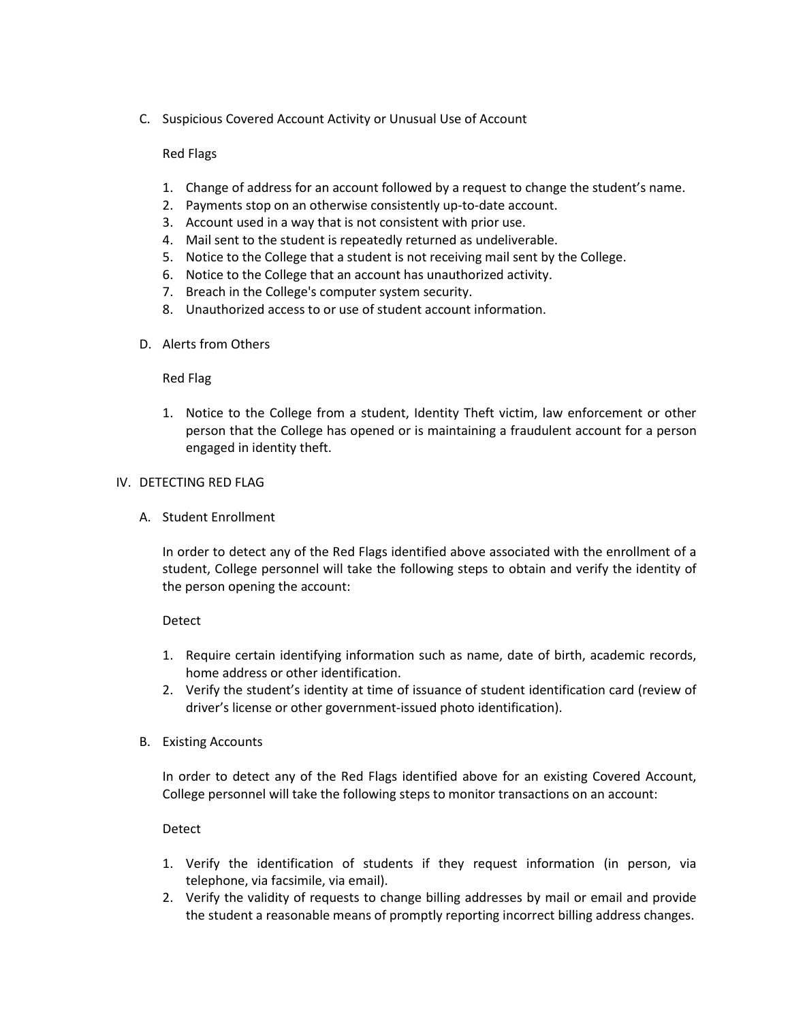C. Suspicious Covered Account Activity or Unusual Use of Account

# Red Flags

- 1. Change of address for an account followed by a request to change the student's name.
- 2. Payments stop on an otherwise consistently up-to-date account.
- 3. Account used in a way that is not consistent with prior use.
- 4. Mail sent to the student is repeatedly returned as undeliverable.
- 5. Notice to the College that a student is not receiving mail sent by the College.
- 6. Notice to the College that an account has unauthorized activity.
- 7. Breach in the College's computer system security.
- 8. Unauthorized access to or use of student account information.
- D. Alerts from Others

## Red Flag

1. Notice to the College from a student, Identity Theft victim, law enforcement or other person that the College has opened or is maintaining a fraudulent account for a person engaged in identity theft.

## IV. DETECTING RED FLAG

A. Student Enrollment

In order to detect any of the Red Flags identified above associated with the enrollment of a student, College personnel will take the following steps to obtain and verify the identity of the person opening the account:

## Detect

- 1. Require certain identifying information such as name, date of birth, academic records, home address or other identification.
- 2. Verify the student's identity at time of issuance of student identification card (review of driver's license or other government-issued photo identification).
- B. Existing Accounts

In order to detect any of the Red Flags identified above for an existing Covered Account, College personnel will take the following steps to monitor transactions on an account:

## Detect

- 1. Verify the identification of students if they request information (in person, via telephone, via facsimile, via email).
- 2. Verify the validity of requests to change billing addresses by mail or email and provide the student a reasonable means of promptly reporting incorrect billing address changes.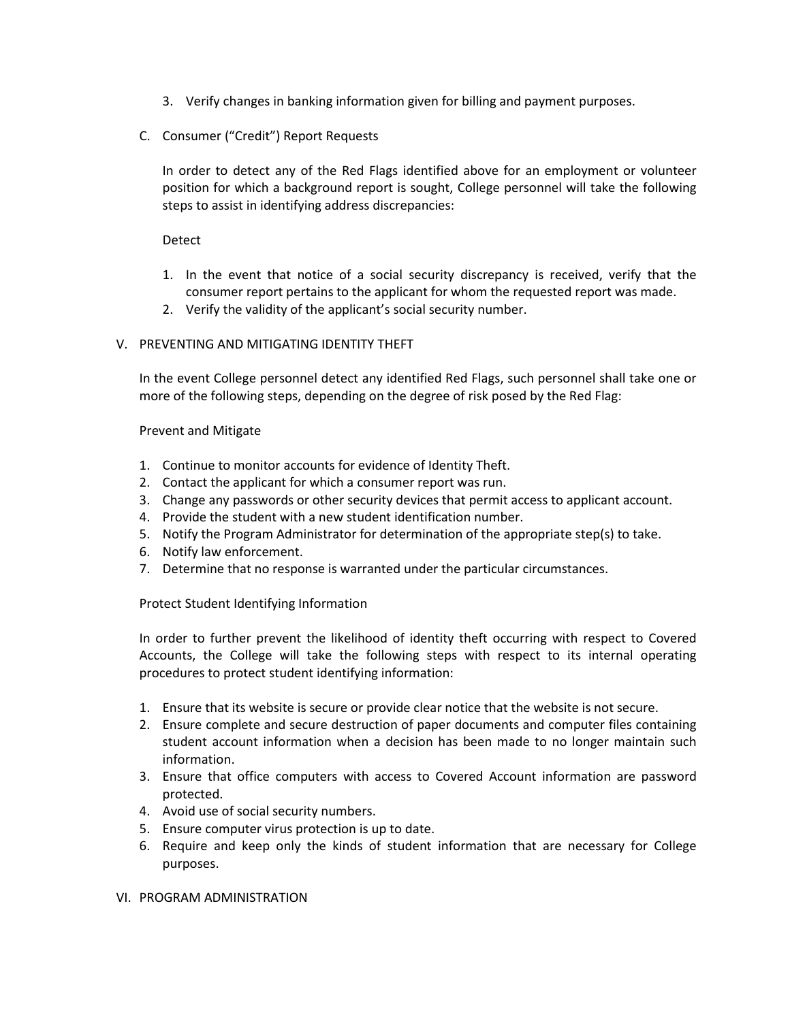- 3. Verify changes in banking information given for billing and payment purposes.
- C. Consumer ("Credit") Report Requests

In order to detect any of the Red Flags identified above for an employment or volunteer position for which a background report is sought, College personnel will take the following steps to assist in identifying address discrepancies:

#### Detect

- 1. In the event that notice of a social security discrepancy is received, verify that the consumer report pertains to the applicant for whom the requested report was made.
- 2. Verify the validity of the applicant's social security number.

## V. PREVENTING AND MITIGATING IDENTITY THEFT

In the event College personnel detect any identified Red Flags, such personnel shall take one or more of the following steps, depending on the degree of risk posed by the Red Flag:

#### Prevent and Mitigate

- 1. Continue to monitor accounts for evidence of Identity Theft.
- 2. Contact the applicant for which a consumer report was run.
- 3. Change any passwords or other security devices that permit access to applicant account.
- 4. Provide the student with a new student identification number.
- 5. Notify the Program Administrator for determination of the appropriate step(s) to take.
- 6. Notify law enforcement.
- 7. Determine that no response is warranted under the particular circumstances.

## Protect Student Identifying Information

In order to further prevent the likelihood of identity theft occurring with respect to Covered Accounts, the College will take the following steps with respect to its internal operating procedures to protect student identifying information:

- 1. Ensure that its website is secure or provide clear notice that the website is not secure.
- 2. Ensure complete and secure destruction of paper documents and computer files containing student account information when a decision has been made to no longer maintain such information.
- 3. Ensure that office computers with access to Covered Account information are password protected.
- 4. Avoid use of social security numbers.
- 5. Ensure computer virus protection is up to date.
- 6. Require and keep only the kinds of student information that are necessary for College purposes.

## VI. PROGRAM ADMINISTRATION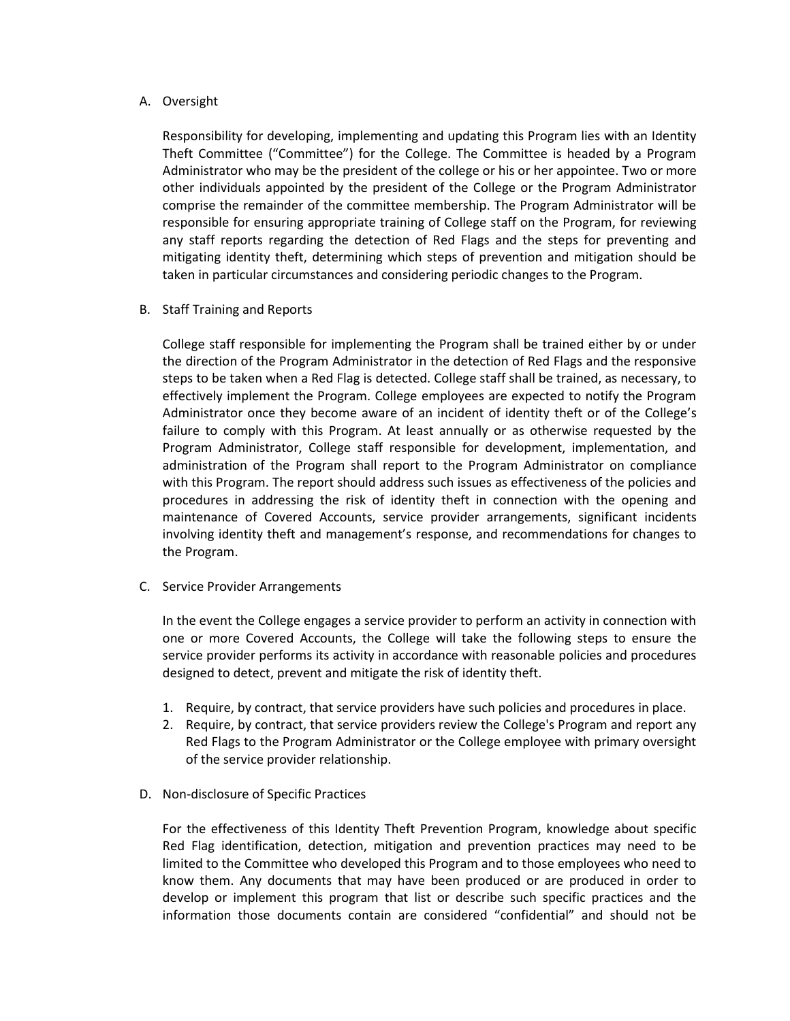# A. Oversight

Responsibility for developing, implementing and updating this Program lies with an Identity Theft Committee ("Committee") for the College. The Committee is headed by a Program Administrator who may be the president of the college or his or her appointee. Two or more other individuals appointed by the president of the College or the Program Administrator comprise the remainder of the committee membership. The Program Administrator will be responsible for ensuring appropriate training of College staff on the Program, for reviewing any staff reports regarding the detection of Red Flags and the steps for preventing and mitigating identity theft, determining which steps of prevention and mitigation should be taken in particular circumstances and considering periodic changes to the Program.

B. Staff Training and Reports

College staff responsible for implementing the Program shall be trained either by or under the direction of the Program Administrator in the detection of Red Flags and the responsive steps to be taken when a Red Flag is detected. College staff shall be trained, as necessary, to effectively implement the Program. College employees are expected to notify the Program Administrator once they become aware of an incident of identity theft or of the College's failure to comply with this Program. At least annually or as otherwise requested by the Program Administrator, College staff responsible for development, implementation, and administration of the Program shall report to the Program Administrator on compliance with this Program. The report should address such issues as effectiveness of the policies and procedures in addressing the risk of identity theft in connection with the opening and maintenance of Covered Accounts, service provider arrangements, significant incidents involving identity theft and management's response, and recommendations for changes to the Program.

C. Service Provider Arrangements

In the event the College engages a service provider to perform an activity in connection with one or more Covered Accounts, the College will take the following steps to ensure the service provider performs its activity in accordance with reasonable policies and procedures designed to detect, prevent and mitigate the risk of identity theft.

- 1. Require, by contract, that service providers have such policies and procedures in place.
- 2. Require, by contract, that service providers review the College's Program and report any Red Flags to the Program Administrator or the College employee with primary oversight of the service provider relationship.
- D. Non-disclosure of Specific Practices

For the effectiveness of this Identity Theft Prevention Program, knowledge about specific Red Flag identification, detection, mitigation and prevention practices may need to be limited to the Committee who developed this Program and to those employees who need to know them. Any documents that may have been produced or are produced in order to develop or implement this program that list or describe such specific practices and the information those documents contain are considered "confidential" and should not be